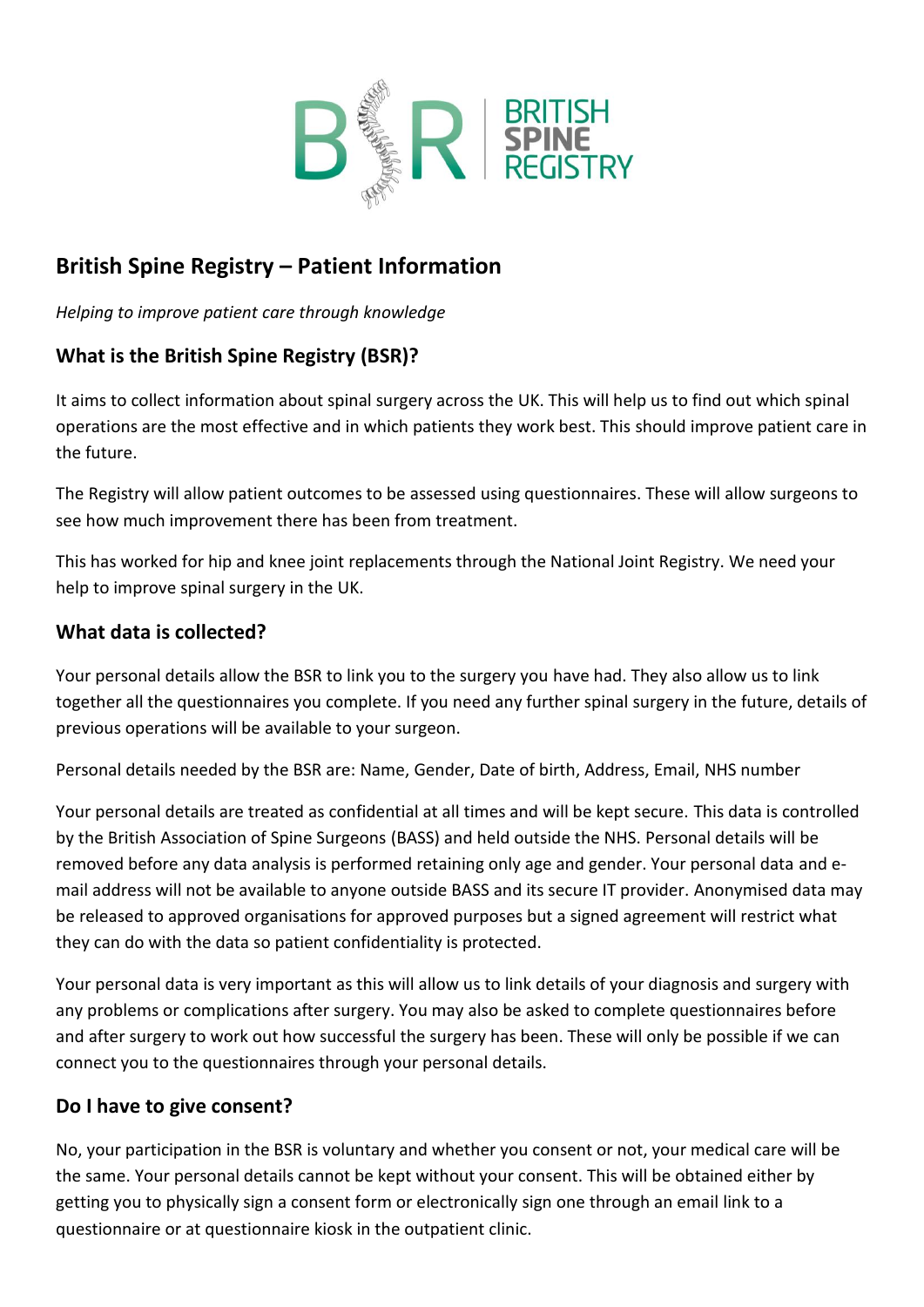

## **British Spine Registry – Patient Information**

*Helping to improve patient care through knowledge*

## **What is the British Spine Registry (BSR)?**

It aims to collect information about spinal surgery across the UK. This will help us to find out which spinal operations are the most effective and in which patients they work best. This should improve patient care in the future.

The Registry will allow patient outcomes to be assessed using questionnaires. These will allow surgeons to see how much improvement there has been from treatment.

This has worked for hip and knee joint replacements through the National Joint Registry. We need your help to improve spinal surgery in the UK.

## **What data is collected?**

Your personal details allow the BSR to link you to the surgery you have had. They also allow us to link together all the questionnaires you complete. If you need any further spinal surgery in the future, details of previous operations will be available to your surgeon.

Personal details needed by the BSR are: Name, Gender, Date of birth, Address, Email, NHS number

Your personal details are treated as confidential at all times and will be kept secure. This data is controlled by the British Association of Spine Surgeons (BASS) and held outside the NHS. Personal details will be removed before any data analysis is performed retaining only age and gender. Your personal data and email address will not be available to anyone outside BASS and its secure IT provider. Anonymised data may be released to approved organisations for approved purposes but a signed agreement will restrict what they can do with the data so patient confidentiality is protected.

Your personal data is very important as this will allow us to link details of your diagnosis and surgery with any problems or complications after surgery. You may also be asked to complete questionnaires before and after surgery to work out how successful the surgery has been. These will only be possible if we can connect you to the questionnaires through your personal details.

## **Do I have to give consent?**

No, your participation in the BSR is voluntary and whether you consent or not, your medical care will be the same. Your personal details cannot be kept without your consent. This will be obtained either by getting you to physically sign a consent form or electronically sign one through an email link to a questionnaire or at questionnaire kiosk in the outpatient clinic.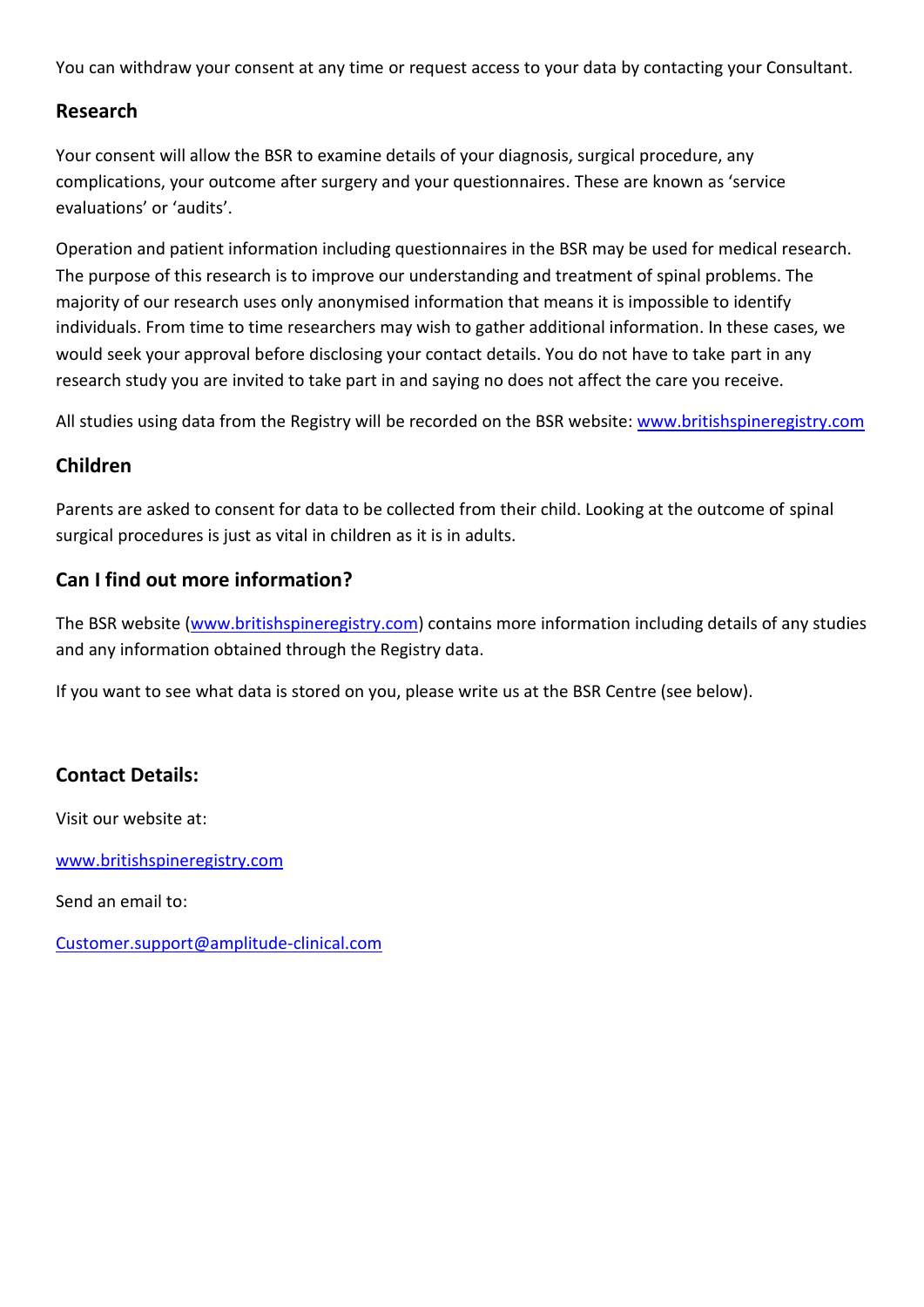You can withdraw your consent at any time or request access to your data by contacting your Consultant.

#### **Research**

Your consent will allow the BSR to examine details of your diagnosis, surgical procedure, any complications, your outcome after surgery and your questionnaires. These are known as 'service evaluations' or 'audits'.

Operation and patient information including questionnaires in the BSR may be used for medical research. The purpose of this research is to improve our understanding and treatment of spinal problems. The majority of our research uses only anonymised information that means it is impossible to identify individuals. From time to time researchers may wish to gather additional information. In these cases, we would seek your approval before disclosing your contact details. You do not have to take part in any research study you are invited to take part in and saying no does not affect the care you receive.

All studies using data from the Registry will be recorded on the BSR website: [www.britishspineregistry.com](http://www.britishspineregistry.com/)

## **Children**

Parents are asked to consent for data to be collected from their child. Looking at the outcome of spinal surgical procedures is just as vital in children as it is in adults.

## **Can I find out more information?**

The BSR website [\(www.britishspineregistry.com\)](http://www.britishspineregistry.com/) contains more information including details of any studies and any information obtained through the Registry data.

If you want to see what data is stored on you, please write us at the BSR Centre (see below).

## **Contact Details:**

Visit our website at:

[www.britishspineregistry.com](http://www.britishspineregistry.com/)

Send an email to:

[Customer.support@amplitude-clinical.com](mailto:Customer.support@amplitude-clinical.com)